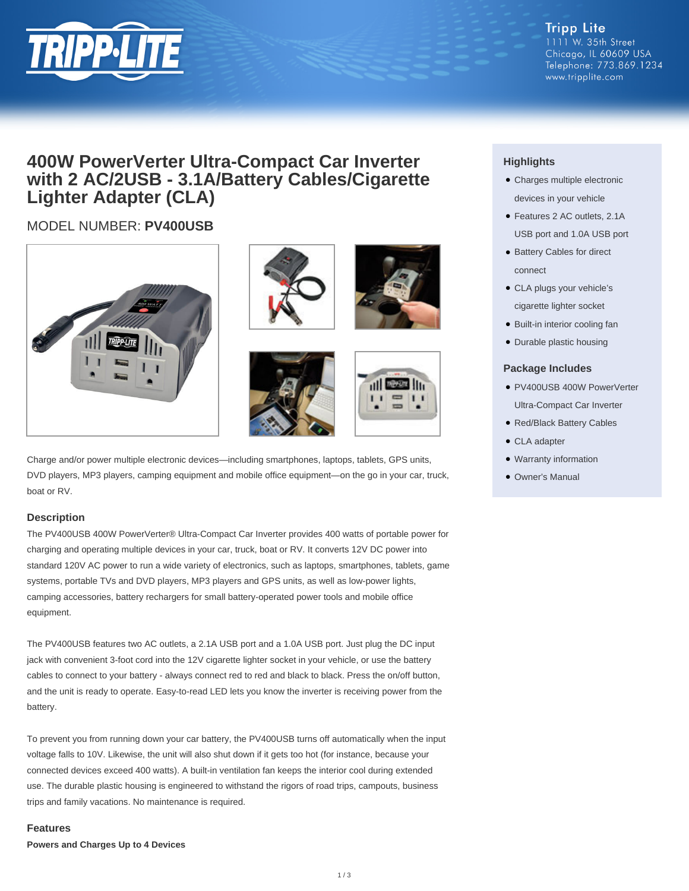

**Tripp Lite** 1111 W. 35th Street Chicago, IL 60609 USA Telephone: 773.869.1234 www.tripplite.com

# **400W PowerVerter Ultra-Compact Car Inverter with 2 AC/2USB - 3.1A/Battery Cables/Cigarette Lighter Adapter (CLA)**

# MODEL NUMBER: **PV400USB**











Charge and/or power multiple electronic devices—including smartphones, laptops, tablets, GPS units, DVD players, MP3 players, camping equipment and mobile office equipment—on the go in your car, truck, boat or RV.

## **Description**

The PV400USB 400W PowerVerter® Ultra-Compact Car Inverter provides 400 watts of portable power for charging and operating multiple devices in your car, truck, boat or RV. It converts 12V DC power into standard 120V AC power to run a wide variety of electronics, such as laptops, smartphones, tablets, game systems, portable TVs and DVD players, MP3 players and GPS units, as well as low-power lights, camping accessories, battery rechargers for small battery-operated power tools and mobile office equipment.

The PV400USB features two AC outlets, a 2.1A USB port and a 1.0A USB port. Just plug the DC input jack with convenient 3-foot cord into the 12V cigarette lighter socket in your vehicle, or use the battery cables to connect to your battery - always connect red to red and black to black. Press the on/off button, and the unit is ready to operate. Easy-to-read LED lets you know the inverter is receiving power from the battery.

To prevent you from running down your car battery, the PV400USB turns off automatically when the input voltage falls to 10V. Likewise, the unit will also shut down if it gets too hot (for instance, because your connected devices exceed 400 watts). A built-in ventilation fan keeps the interior cool during extended use. The durable plastic housing is engineered to withstand the rigors of road trips, campouts, business trips and family vacations. No maintenance is required.

### **Features**

**Powers and Charges Up to 4 Devices**

# **Highlights**

- Charges multiple electronic devices in your vehicle
- Features 2 AC outlets, 2.1A USB port and 1.0A USB port
- Battery Cables for direct connect
- CLA plugs your vehicle's cigarette lighter socket
- Built-in interior cooling fan
- Durable plastic housing

### **Package Includes**

- PV400USB 400W PowerVerter Ultra-Compact Car Inverter
- Red/Black Battery Cables
- CLA adapter
- Warranty information
- Owner's Manual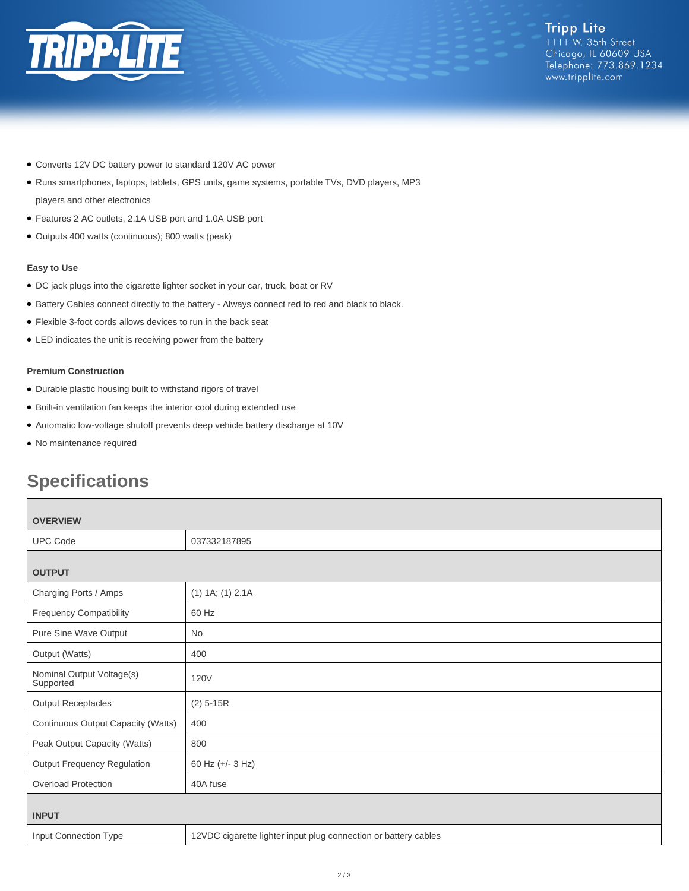

- Converts 12V DC battery power to standard 120V AC power
- Runs smartphones, laptops, tablets, GPS units, game systems, portable TVs, DVD players, MP3
- players and other electronics
- Features 2 AC outlets, 2.1A USB port and 1.0A USB port
- Outputs 400 watts (continuous); 800 watts (peak)

#### **Easy to Use**

- DC jack plugs into the cigarette lighter socket in your car, truck, boat or RV
- Battery Cables connect directly to the battery Always connect red to red and black to black.
- Flexible 3-foot cords allows devices to run in the back seat
- LED indicates the unit is receiving power from the battery

#### **Premium Construction**

- Durable plastic housing built to withstand rigors of travel
- Built-in ventilation fan keeps the interior cool during extended use
- Automatic low-voltage shutoff prevents deep vehicle battery discharge at 10V
- No maintenance required

# **Specifications**

| <b>OVERVIEW</b>                        |                                                                 |
|----------------------------------------|-----------------------------------------------------------------|
| <b>UPC Code</b>                        | 037332187895                                                    |
| <b>OUTPUT</b>                          |                                                                 |
| Charging Ports / Amps                  | $(1)$ 1A; $(1)$ 2.1A                                            |
| <b>Frequency Compatibility</b>         | 60 Hz                                                           |
| Pure Sine Wave Output                  | No                                                              |
| Output (Watts)                         | 400                                                             |
| Nominal Output Voltage(s)<br>Supported | <b>120V</b>                                                     |
| <b>Output Receptacles</b>              | $(2)$ 5-15R                                                     |
| Continuous Output Capacity (Watts)     | 400                                                             |
| Peak Output Capacity (Watts)           | 800                                                             |
| <b>Output Frequency Regulation</b>     | 60 Hz (+/- 3 Hz)                                                |
| <b>Overload Protection</b>             | 40A fuse                                                        |
| <b>INPUT</b>                           |                                                                 |
| Input Connection Type                  | 12VDC cigarette lighter input plug connection or battery cables |